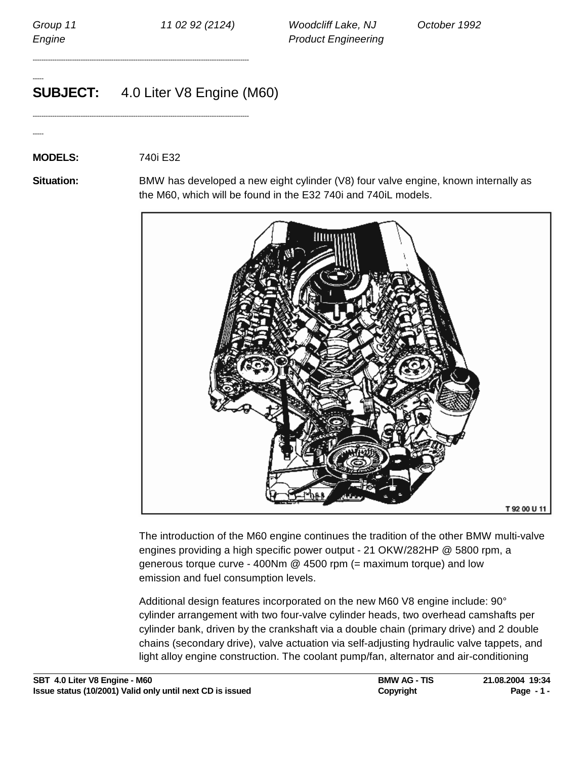-----

-----

Group 11 11 102 92 (2124) Woodcliff Lake, NJ Cotober 1992 Engine **Engineering** 

# **SUBJECT:** 4.0 Liter V8 Engine (M60)

---------------------------------------------------------------------------------------------------

---------------------------------------------------------------------------------------------------

### **MODELS:** 740i E32

**Situation:** BMW has developed a new eight cylinder (V8) four valve engine, known internally as the M60, which will be found in the E32 740i and 740iL models.



The introduction of the M60 engine continues the tradition of the other BMW multi-valve engines providing a high specific power output - 21 OKW/282HP @ 5800 rpm, a generous torque curve - 400Nm @ 4500 rpm (= maximum torque) and low emission and fuel consumption levels.

Additional design features incorporated on the new M60 V8 engine include: 90° cylinder arrangement with two four-valve cylinder heads, two overhead camshafts per cylinder bank, driven by the crankshaft via a double chain (primary drive) and 2 double chains (secondary drive), valve actuation via self-adjusting hydraulic valve tappets, and light alloy engine construction. The coolant pump/fan, alternator and air-conditioning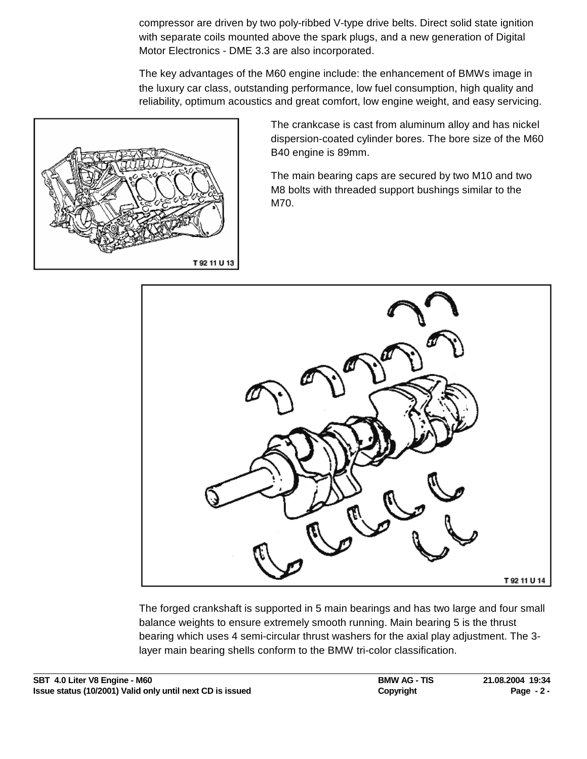compressor are driven by two poly-ribbed V-type drive belts. Direct solid state ignition with separate coils mounted above the spark plugs, and a new generation of Digital Motor Electronics - DME 3.3 are also incorporated.

The key advantages of the M60 engine include: the enhancement of BMWs image in the luxury car class, outstanding performance, low fuel consumption, high quality and reliability, optimum acoustics and great comfort, low engine weight, and easy servicing.



The crankcase is cast from aluminum alloy and has nickel dispersion-coated cylinder bores. The bore size of the M60 B40 engine is 89mm.

The main bearing caps are secured by two M10 and two M8 bolts with threaded support bushings similar to the M70.



The forged crankshaft is supported in 5 main bearings and has two large and four small balance weights to ensure extremely smooth running. Main bearing 5 is the thrust bearing which uses 4 semi-circular thrust washers for the axial play adjustment. The 3 layer main bearing shells conform to the BMW tri-color classification.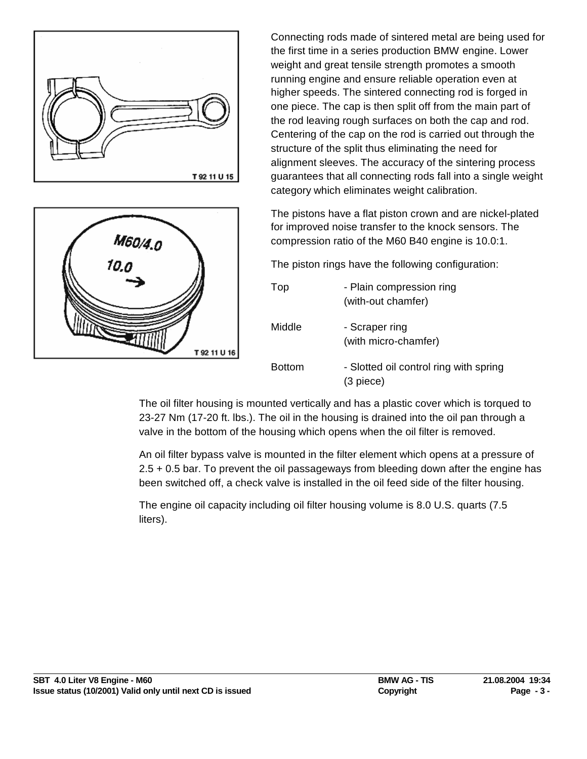



Connecting rods made of sintered metal are being used for the first time in a series production BMW engine. Lower weight and great tensile strength promotes a smooth running engine and ensure reliable operation even at higher speeds. The sintered connecting rod is forged in one piece. The cap is then split off from the main part of the rod leaving rough surfaces on both the cap and rod. Centering of the cap on the rod is carried out through the structure of the split thus eliminating the need for alignment sleeves. The accuracy of the sintering process guarantees that all connecting rods fall into a single weight category which eliminates weight calibration.

The pistons have a flat piston crown and are nickel-plated for improved noise transfer to the knock sensors. The compression ratio of the M60 B40 engine is 10.0:1.

The piston rings have the following configuration:

| Top           | - Plain compression ring<br>(with-out chamfer)        |
|---------------|-------------------------------------------------------|
| Middle        | - Scraper ring<br>(with micro-chamfer)                |
| <b>Bottom</b> | - Slotted oil control ring with spring<br>$(3$ piece) |

The oil filter housing is mounted vertically and has a plastic cover which is torqued to 23-27 Nm (17-20 ft. lbs.). The oil in the housing is drained into the oil pan through a valve in the bottom of the housing which opens when the oil filter is removed.

An oil filter bypass valve is mounted in the filter element which opens at a pressure of 2.5 + 0.5 bar. To prevent the oil passageways from bleeding down after the engine has been switched off, a check valve is installed in the oil feed side of the filter housing.

The engine oil capacity including oil filter housing volume is 8.0 U.S. quarts (7.5 liters).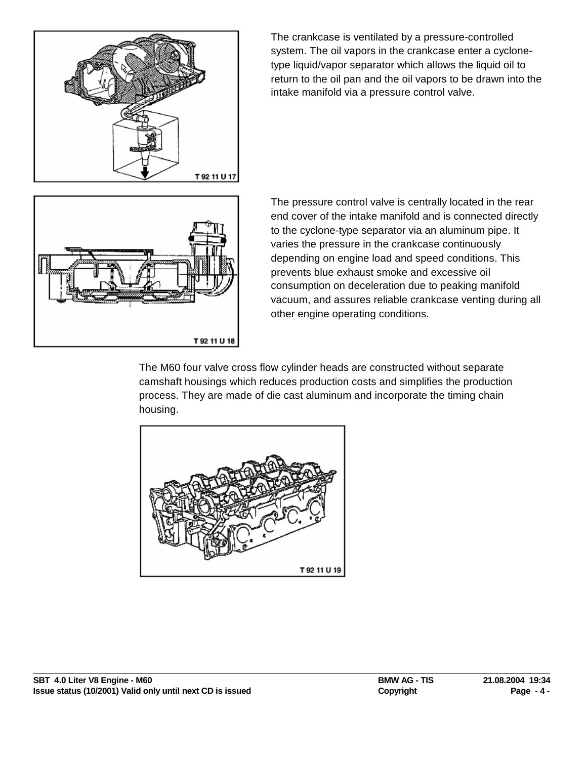

The crankcase is ventilated by a pressure-controlled system. The oil vapors in the crankcase enter a cyclonetype liquid/vapor separator which allows the liquid oil to return to the oil pan and the oil vapors to be drawn into the intake manifold via a pressure control valve.



The pressure control valve is centrally located in the rear end cover of the intake manifold and is connected directly to the cyclone-type separator via an aluminum pipe. It varies the pressure in the crankcase continuously depending on engine load and speed conditions. This prevents blue exhaust smoke and excessive oil consumption on deceleration due to peaking manifold vacuum, and assures reliable crankcase venting during all other engine operating conditions.

The M60 four valve cross flow cylinder heads are constructed without separate camshaft housings which reduces production costs and simplifies the production process. They are made of die cast aluminum and incorporate the timing chain housing.

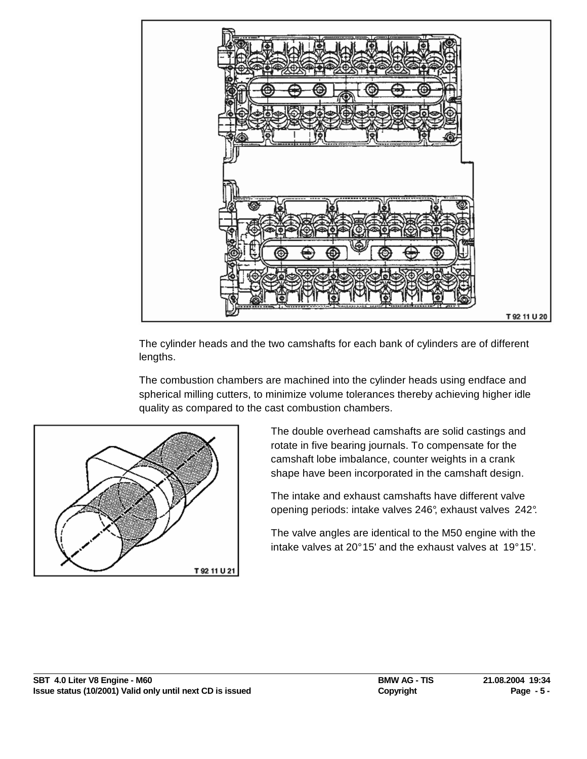

The cylinder heads and the two camshafts for each bank of cylinders are of different lengths.

The combustion chambers are machined into the cylinder heads using endface and spherical milling cutters, to minimize volume tolerances thereby achieving higher idle quality as compared to the cast combustion chambers.



The double overhead camshafts are solid castings and rotate in five bearing journals. To compensate for the camshaft lobe imbalance, counter weights in a crank shape have been incorporated in the camshaft design.

The intake and exhaust camshafts have different valve opening periods: intake valves 246°, exhaust valves 242°.

The valve angles are identical to the M50 engine with the intake valves at 20° 15' and the exhaust valves at 19° 15'.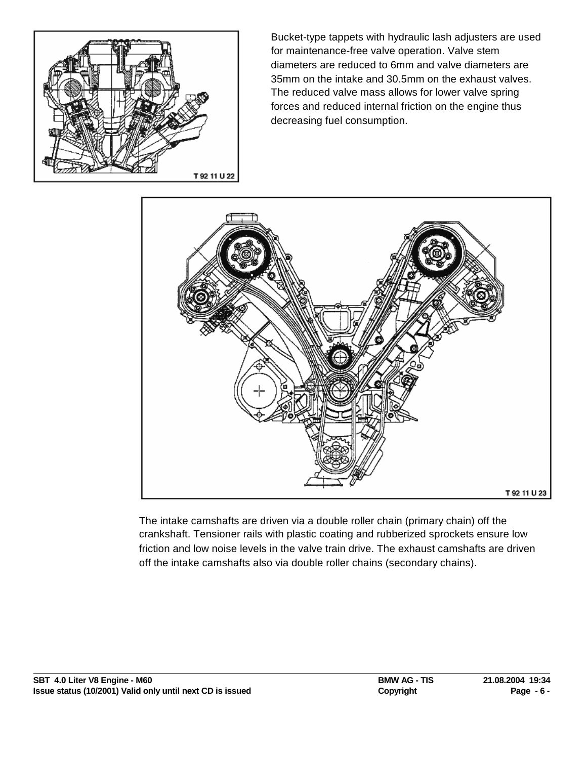

Bucket-type tappets with hydraulic lash adjusters are used for maintenance-free valve operation. Valve stem diameters are reduced to 6mm and valve diameters are 35mm on the intake and 30.5mm on the exhaust valves. The reduced valve mass allows for lower valve spring forces and reduced internal friction on the engine thus decreasing fuel consumption.



The intake camshafts are driven via a double roller chain (primary chain) off the crankshaft. Tensioner rails with plastic coating and rubberized sprockets ensure low friction and low noise levels in the valve train drive. The exhaust camshafts are driven off the intake camshafts also via double roller chains (secondary chains).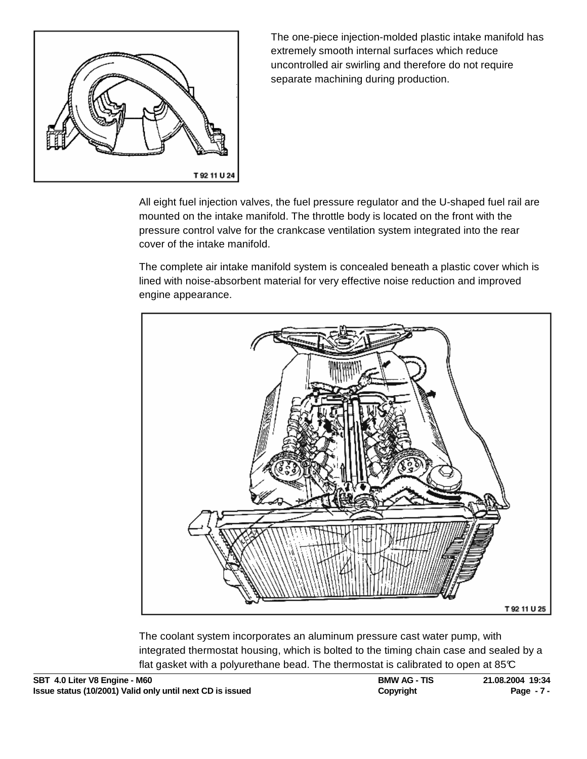

The one-piece injection-molded plastic intake manifold has extremely smooth internal surfaces which reduce uncontrolled air swirling and therefore do not require separate machining during production.

All eight fuel injection valves, the fuel pressure regulator and the U-shaped fuel rail are mounted on the intake manifold. The throttle body is located on the front with the pressure control valve for the crankcase ventilation system integrated into the rear cover of the intake manifold.

The complete air intake manifold system is concealed beneath a plastic cover which is lined with noise-absorbent material for very effective noise reduction and improved engine appearance.



The coolant system incorporates an aluminum pressure cast water pump, with integrated thermostat housing, which is bolted to the timing chain case and sealed by a flat gasket with a polyurethane bead. The thermostat is calibrated to open at  $85<sup>c</sup>$ 

| SBT 4.0 Liter V8 Engine - M60                             | <b>BMW AG - TIS</b> | 21.08.2004 19:34 |
|-----------------------------------------------------------|---------------------|------------------|
| Issue status (10/2001) Valid only until next CD is issued | Copyright           | Page - 7 -       |

**SBT 4.0 Liter V8 Engine - M60 BMW AG - TIS 21.08.2004 19:34**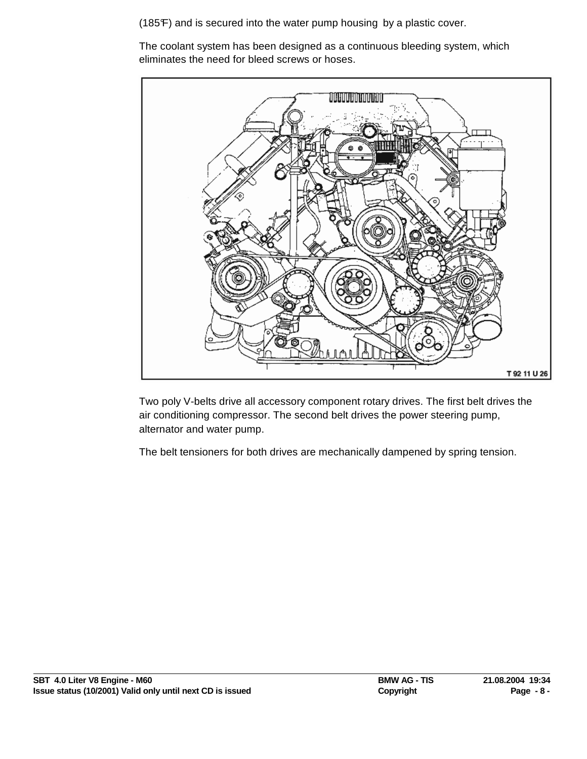(185°F) and is secured into the water pump housing by a plastic cover.

The coolant system has been designed as a continuous bleeding system, which eliminates the need for bleed screws or hoses.



Two poly V-belts drive all accessory component rotary drives. The first belt drives the air conditioning compressor. The second belt drives the power steering pump, alternator and water pump.

The belt tensioners for both drives are mechanically dampened by spring tension.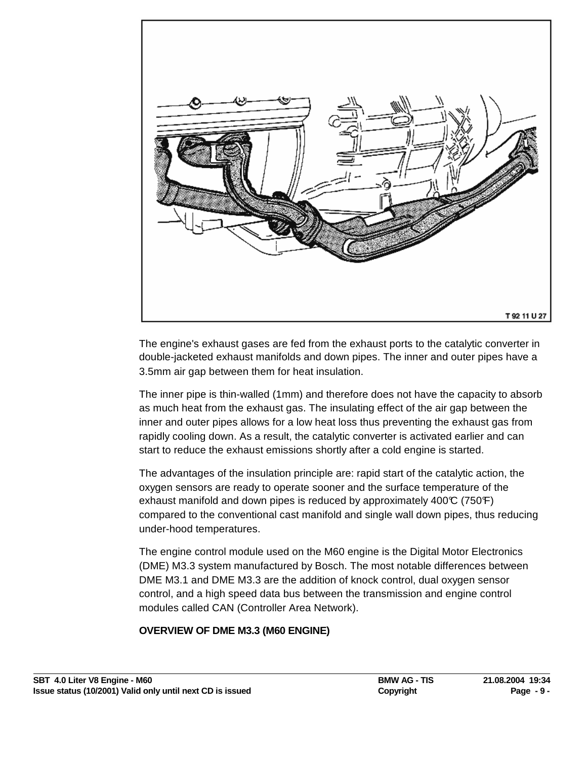

The engine's exhaust gases are fed from the exhaust ports to the catalytic converter in double-jacketed exhaust manifolds and down pipes. The inner and outer pipes have a 3.5mm air gap between them for heat insulation.

The inner pipe is thin-walled (1mm) and therefore does not have the capacity to absorb as much heat from the exhaust gas. The insulating effect of the air gap between the inner and outer pipes allows for a low heat loss thus preventing the exhaust gas from rapidly cooling down. As a result, the catalytic converter is activated earlier and can start to reduce the exhaust emissions shortly after a cold engine is started.

The advantages of the insulation principle are: rapid start of the catalytic action, the oxygen sensors are ready to operate sooner and the surface temperature of the exhaust manifold and down pipes is reduced by approximately  $400\text{°C}$  (750 $\text{F}$ ) compared to the conventional cast manifold and single wall down pipes, thus reducing under-hood temperatures.

The engine control module used on the M60 engine is the Digital Motor Electronics (DME) M3.3 system manufactured by Bosch. The most notable differences between DME M3.1 and DME M3.3 are the addition of knock control, dual oxygen sensor control, and a high speed data bus between the transmission and engine control modules called CAN (Controller Area Network).

## **OVERVIEW OF DME M3.3 (M60 ENGINE)**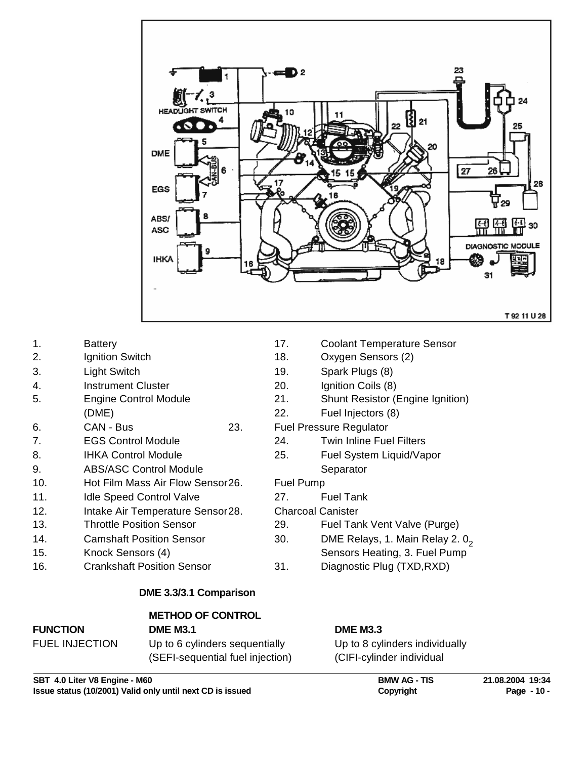

- 
- 
- 
- 4. Instrument Cluster 20. Ignition Coils (8)
- 
- 6. CAN Bus 23. Fuel Pressure Regulator
- 
- 
- 9. ABS/ASC Control Module Separator
- 10. Hot Film Mass Air Flow Sensor26. Fuel Pump
- 11. Idle Speed Control Valve 27. Fuel Tank
- 12. Intake Air Temperature Sensor28. Charcoal Canister
- 
- 
- 
- 16. Crankshaft Position Sensor 31. Diagnostic Plug (TXD,RXD)

### **DME 3.3/3.1 Comparison**

# **METHOD OF CONTROL**

### **FUNCTION DME M3.1 DME M3.3**

FUEL INJECTION Up to 6 cylinders sequentially Up to 8 cylinders individually

(SEFI-sequential fuel injection) (CIFI-cylinder individual

**SBT 4.0 Liter V8 Engine - M60 BMW AG - TIS 21.08.2004 19:34 Issue status (10/2001) Valid only until next CD is issued Convergent Copyright Page - 10 - All and Page - 10 -**

- 1. Battery 17. Coolant Temperature Sensor
- 2. Ignition Switch 18. Oxygen Sensors (2)
- 3. Light Switch 19. Spark Plugs (8)
	-
- 5. Engine Control Module 21. Shunt Resistor (Engine Ignition)
	- (DME) 22. Fuel Injectors (8)
		-
- 7. EGS Control Module 24. Twin Inline Fuel Filters
- 8. IHKA Control Module 25. Fuel System Liquid/Vapor

- 
- 
- 13. Throttle Position Sensor 29. Fuel Tank Vent Valve (Purge)
- 14. Camshaft Position Sensor 30. DME Relays, 1. Main Relay 2. 0<sup>2</sup>
	- Sensors Heating, 3. Fuel Pump
	-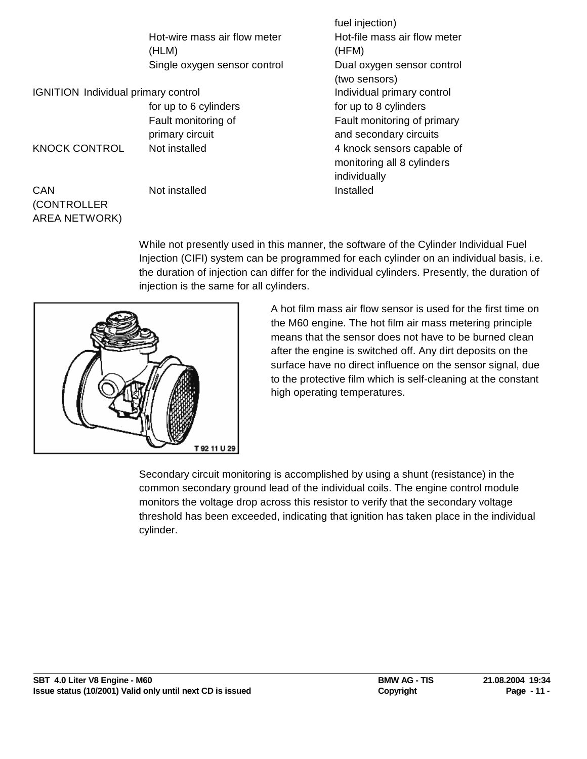|                                            |                                        | fuel injection)                                                          |
|--------------------------------------------|----------------------------------------|--------------------------------------------------------------------------|
|                                            | Hot-wire mass air flow meter<br>(HLM)  | Hot-file mass air flow meter<br>(HFM)                                    |
|                                            | Single oxygen sensor control           | Dual oxygen sensor control<br>(two sensors)                              |
| <b>IGNITION</b> Individual primary control |                                        | Individual primary control                                               |
|                                            | for up to 6 cylinders                  | for up to 8 cylinders                                                    |
|                                            | Fault monitoring of<br>primary circuit | Fault monitoring of primary<br>and secondary circuits                    |
| <b>KNOCK CONTROL</b>                       | Not installed                          | 4 knock sensors capable of<br>monitoring all 8 cylinders<br>individually |
| <b>CAN</b><br>(CONTROLLER                  | Not installed                          | Installed                                                                |

While not presently used in this manner, the software of the Cylinder Individual Fuel Injection (CIFI) system can be programmed for each cylinder on an individual basis, i.e. the duration of injection can differ for the individual cylinders. Presently, the duration of injection is the same for all cylinders.



AREA NETWORK)

A hot film mass air flow sensor is used for the first time on the M60 engine. The hot film air mass metering principle means that the sensor does not have to be burned clean after the engine is switched off. Any dirt deposits on the surface have no direct influence on the sensor signal, due to the protective film which is self-cleaning at the constant high operating temperatures.

Secondary circuit monitoring is accomplished by using a shunt (resistance) in the common secondary ground lead of the individual coils. The engine control module monitors the voltage drop across this resistor to verify that the secondary voltage threshold has been exceeded, indicating that ignition has taken place in the individual cylinder.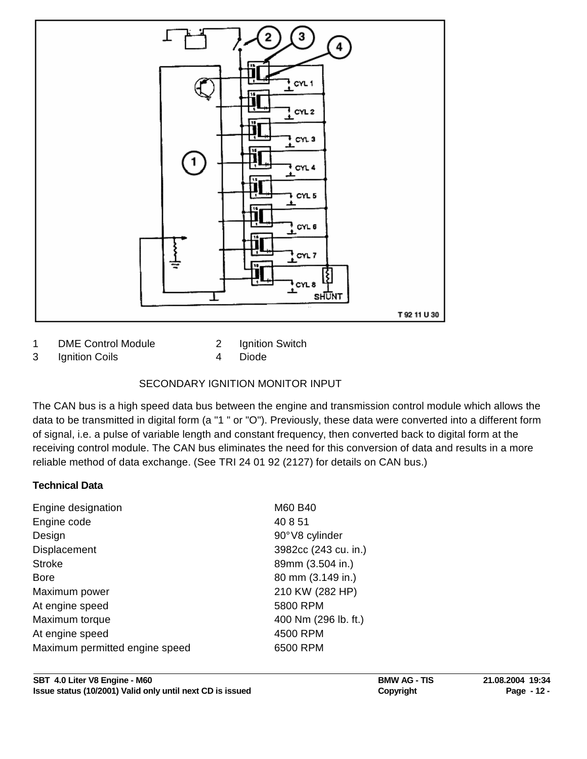

1 DME Control Module 2 Ignition Switch

3 Ignition Coils 4 Diode

# SECONDARY IGNITION MONITOR INPUT

The CAN bus is a high speed data bus between the engine and transmission control module which allows the data to be transmitted in digital form (a "1 " or "O"). Previously, these data were converted into a different form of signal, i.e. a pulse of variable length and constant frequency, then converted back to digital form at the receiving control module. The CAN bus eliminates the need for this conversion of data and results in a more reliable method of data exchange. (See TRI 24 01 92 (2127) for details on CAN bus.)

# **Technical Data**

| Engine designation             | M60 B40              |
|--------------------------------|----------------------|
| Engine code                    | 40 8 51              |
| Design                         | 90°V8 cylinder       |
| Displacement                   | 3982cc (243 cu. in.) |
| <b>Stroke</b>                  | 89mm (3.504 in.)     |
| <b>Bore</b>                    | 80 mm (3.149 in.)    |
| Maximum power                  | 210 KW (282 HP)      |
| At engine speed                | 5800 RPM             |
| Maximum torque                 | 400 Nm (296 lb. ft.) |
| At engine speed                | 4500 RPM             |
| Maximum permitted engine speed | 6500 RPM             |
|                                |                      |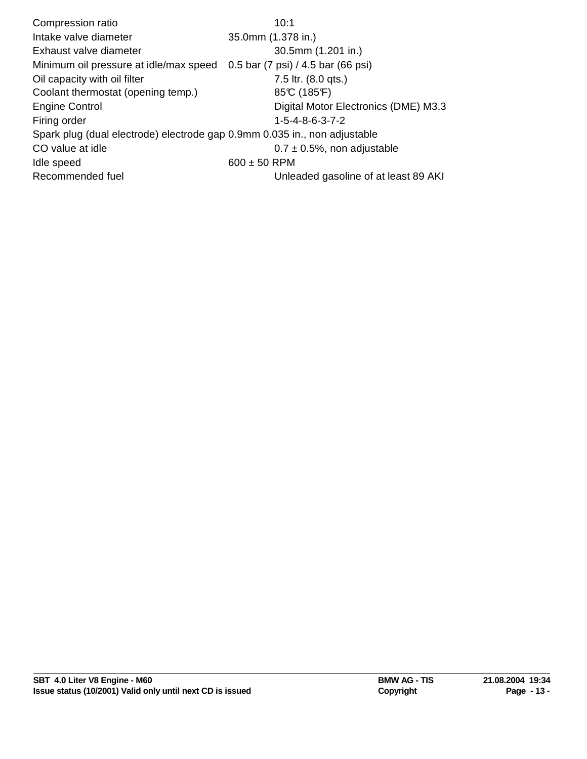Compression ratio 10:1 Intake valve diameter 35.0mm (1.378 in.) Exhaust valve diameter 30.5mm (1.201 in.) Minimum oil pressure at idle/max speed 0.5 bar (7 psi) / 4.5 bar (66 psi) Oil capacity with oil filter The Table 10 and T.5 ltr. (8.0 qts.) Coolant thermostat (opening temp.) 85°C (185°F) Engine Control **Electronics** (DME) M3.3 Firing order 1-5-4-8-6-3-7-2 Spark plug (dual electrode) electrode gap 0.9mm 0.035 in., non adjustable CO value at idle  $0.7 \pm 0.5$ %, non adjustable Idle speed 600  $\pm$  50 RPM Recommended fuel **Network** Unleaded gasoline of at least 89 AKI